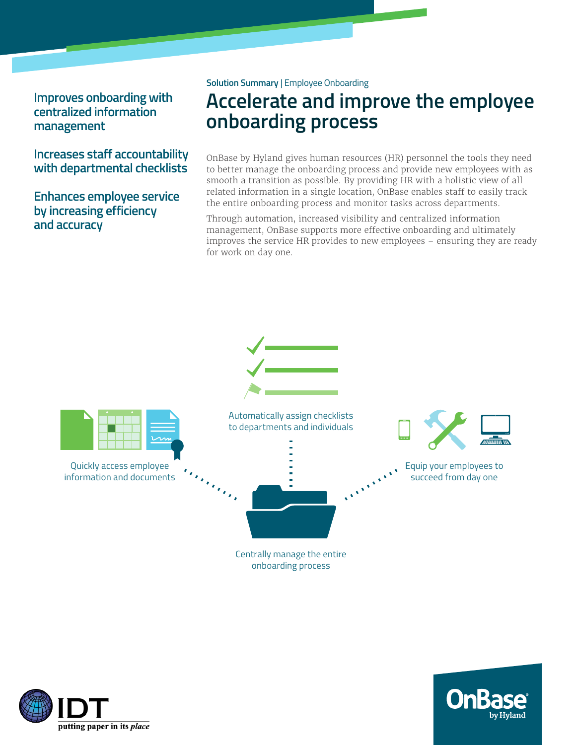**Improves onboarding with centralized information management** 

**Increases staff accountability with departmental checklists**

# **Enhances employee service by increasing efficiency and accuracy**

#### **Solution Summary** | Employee Onboarding

# **Accelerate and improve the employee onboarding process**

OnBase by Hyland gives human resources (HR) personnel the tools they need to better manage the onboarding process and provide new employees with as smooth a transition as possible. By providing HR with a holistic view of all related information in a single location, OnBase enables staff to easily track the entire onboarding process and monitor tasks across departments.

Through automation, increased visibility and centralized information management, OnBase supports more effective onboarding and ultimately improves the service HR provides to new employees – ensuring they are ready for work on day one.



putting paper in its place